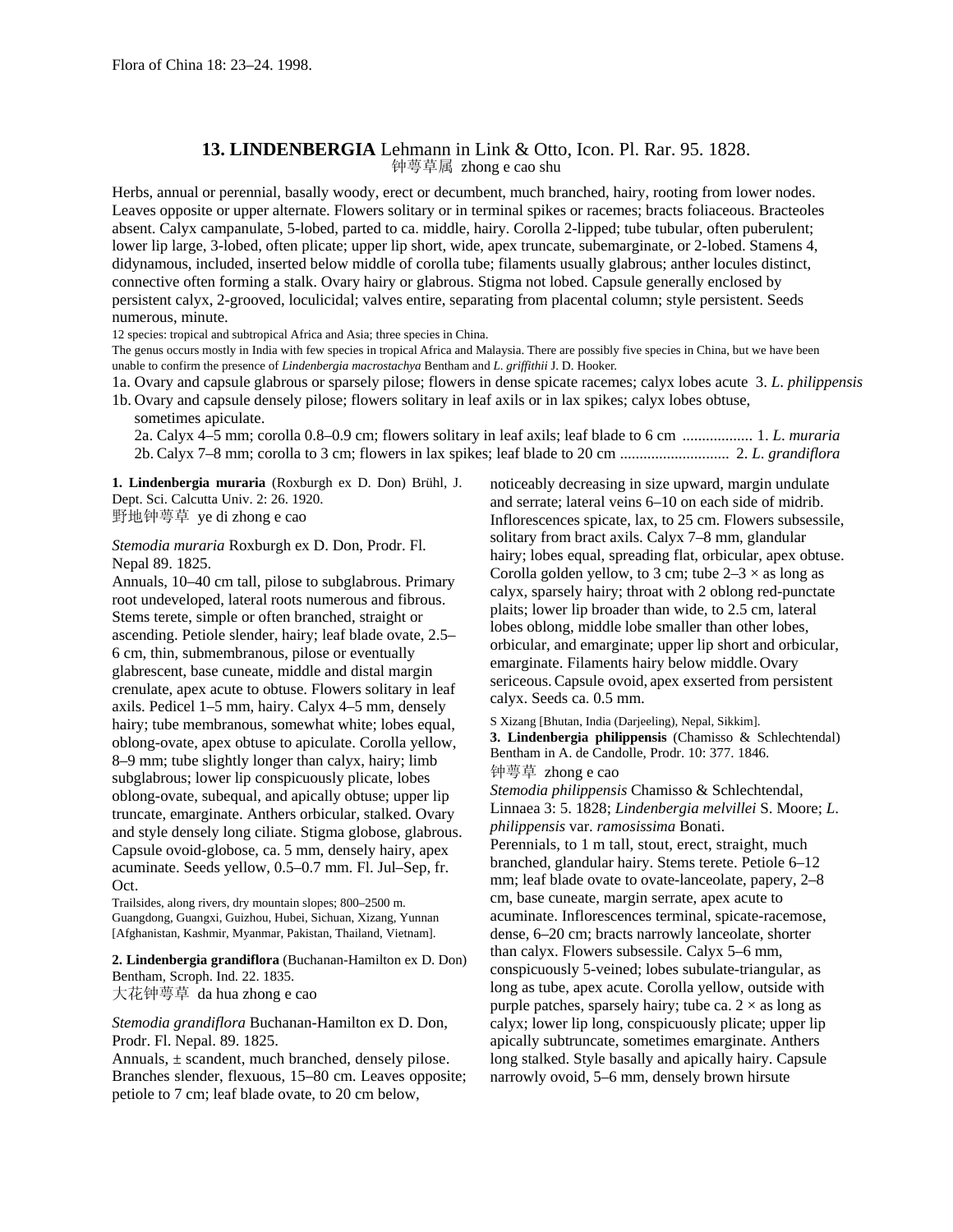## **13. LINDENBERGIA** Lehmann in Link & Otto, Icon. Pl. Rar. 95. 1828. 钟萼草属 zhong e cao shu

Herbs, annual or perennial, basally woody, erect or decumbent, much branched, hairy, rooting from lower nodes. Leaves opposite or upper alternate. Flowers solitary or in terminal spikes or racemes; bracts foliaceous. Bracteoles absent. Calyx campanulate, 5-lobed, parted to ca. middle, hairy. Corolla 2-lipped; tube tubular, often puberulent; lower lip large, 3-lobed, often plicate; upper lip short, wide, apex truncate, subemarginate, or 2-lobed. Stamens 4, didynamous, included, inserted below middle of corolla tube; filaments usually glabrous; anther locules distinct, connective often forming a stalk. Ovary hairy or glabrous. Stigma not lobed. Capsule generally enclosed by persistent calyx, 2-grooved, loculicidal; valves entire, separating from placental column; style persistent. Seeds numerous, minute.

12 species: tropical and subtropical Africa and Asia; three species in China.

The genus occurs mostly in India with few species in tropical Africa and Malaysia. There are possibly five species in China, but we have been unable to confirm the presence of *Lindenbergia macrostachya* Bentham and *L*. *griffithii* J. D. Hooker.

1a. Ovary and capsule glabrous or sparsely pilose; flowers in dense spicate racemes; calyx lobes acute 3. *L*. *philippensis* 1b. Ovary and capsule densely pilose; flowers solitary in leaf axils or in lax spikes; calyx lobes obtuse,

sometimes apiculate.

2a. Calyx 4–5 mm; corolla 0.8–0.9 cm; flowers solitary in leaf axils; leaf blade to 6 cm .................. 1. *L*. *muraria* 2b. Calyx 7–8 mm; corolla to 3 cm; flowers in lax spikes; leaf blade to 20 cm ............................ 2. *L*. *grandiflora*

**1. Lindenbergia muraria** (Roxburgh ex D. Don) Brühl, J. Dept. Sci. Calcutta Univ. 2: 26. 1920. 野地钟萼草 ye di zhong e cao

*Stemodia muraria* Roxburgh ex D. Don, Prodr. Fl. Nepal 89. 1825.

Annuals, 10–40 cm tall, pilose to subglabrous. Primary root undeveloped, lateral roots numerous and fibrous. Stems terete, simple or often branched, straight or ascending. Petiole slender, hairy; leaf blade ovate, 2.5– 6 cm, thin, submembranous, pilose or eventually glabrescent, base cuneate, middle and distal margin crenulate, apex acute to obtuse. Flowers solitary in leaf axils. Pedicel 1–5 mm, hairy. Calyx 4–5 mm, densely hairy; tube membranous, somewhat white; lobes equal, oblong-ovate, apex obtuse to apiculate. Corolla yellow, 8–9 mm; tube slightly longer than calyx, hairy; limb subglabrous; lower lip conspicuously plicate, lobes oblong-ovate, subequal, and apically obtuse; upper lip truncate, emarginate. Anthers orbicular, stalked. Ovary and style densely long ciliate. Stigma globose, glabrous. Capsule ovoid-globose, ca. 5 mm, densely hairy, apex acuminate. Seeds yellow, 0.5–0.7 mm. Fl. Jul–Sep, fr. Oct.

Trailsides, along rivers, dry mountain slopes; 800–2500 m. Guangdong, Guangxi, Guizhou, Hubei, Sichuan, Xizang, Yunnan [Afghanistan, Kashmir, Myanmar, Pakistan, Thailand, Vietnam].

**2. Lindenbergia grandiflora** (Buchanan-Hamilton ex D. Don) Bentham, Scroph. Ind. 22. 1835. 大花钟萼草 da hua zhong e cao

*Stemodia grandiflora* Buchanan-Hamilton ex D. Don, Prodr. Fl. Nepal. 89. 1825.

Annuals,  $\pm$  scandent, much branched, densely pilose. Branches slender, flexuous, 15–80 cm. Leaves opposite; petiole to 7 cm; leaf blade ovate, to 20 cm below,

noticeably decreasing in size upward, margin undulate and serrate; lateral veins 6–10 on each side of midrib. Inflorescences spicate, lax, to 25 cm. Flowers subsessile, solitary from bract axils. Calyx 7–8 mm, glandular hairy; lobes equal, spreading flat, orbicular, apex obtuse. Corolla golden yellow, to 3 cm; tube  $2-3 \times$  as long as calyx, sparsely hairy; throat with 2 oblong red-punctate plaits; lower lip broader than wide, to 2.5 cm, lateral lobes oblong, middle lobe smaller than other lobes, orbicular, and emarginate; upper lip short and orbicular, emarginate. Filaments hairy below middle.Ovary sericeous.Capsule ovoid, apex exserted from persistent calyx. Seeds ca. 0.5 mm.

S Xizang [Bhutan, India (Darjeeling), Nepal, Sikkim]. **3. Lindenbergia philippensis** (Chamisso & Schlechtendal) Bentham in A. de Candolle, Prodr. 10: 377. 1846. 钟萼草 zhong e cao

*Stemodia philippensis* Chamisso & Schlechtendal, Linnaea 3: 5. 1828; *Lindenbergia melvillei* S. Moore; *L*. *philippensis* var. *ramosissima* Bonati.

Perennials, to 1 m tall, stout, erect, straight, much branched, glandular hairy. Stems terete. Petiole 6–12 mm; leaf blade ovate to ovate-lanceolate, papery, 2–8 cm, base cuneate, margin serrate, apex acute to acuminate. Inflorescences terminal, spicate-racemose, dense, 6–20 cm; bracts narrowly lanceolate, shorter than calyx. Flowers subsessile. Calyx 5–6 mm, conspicuously 5-veined; lobes subulate-triangular, as long as tube, apex acute. Corolla yellow, outside with purple patches, sparsely hairy; tube ca.  $2 \times$  as long as calyx; lower lip long, conspicuously plicate; upper lip apically subtruncate, sometimes emarginate. Anthers long stalked. Style basally and apically hairy. Capsule narrowly ovoid, 5–6 mm, densely brown hirsute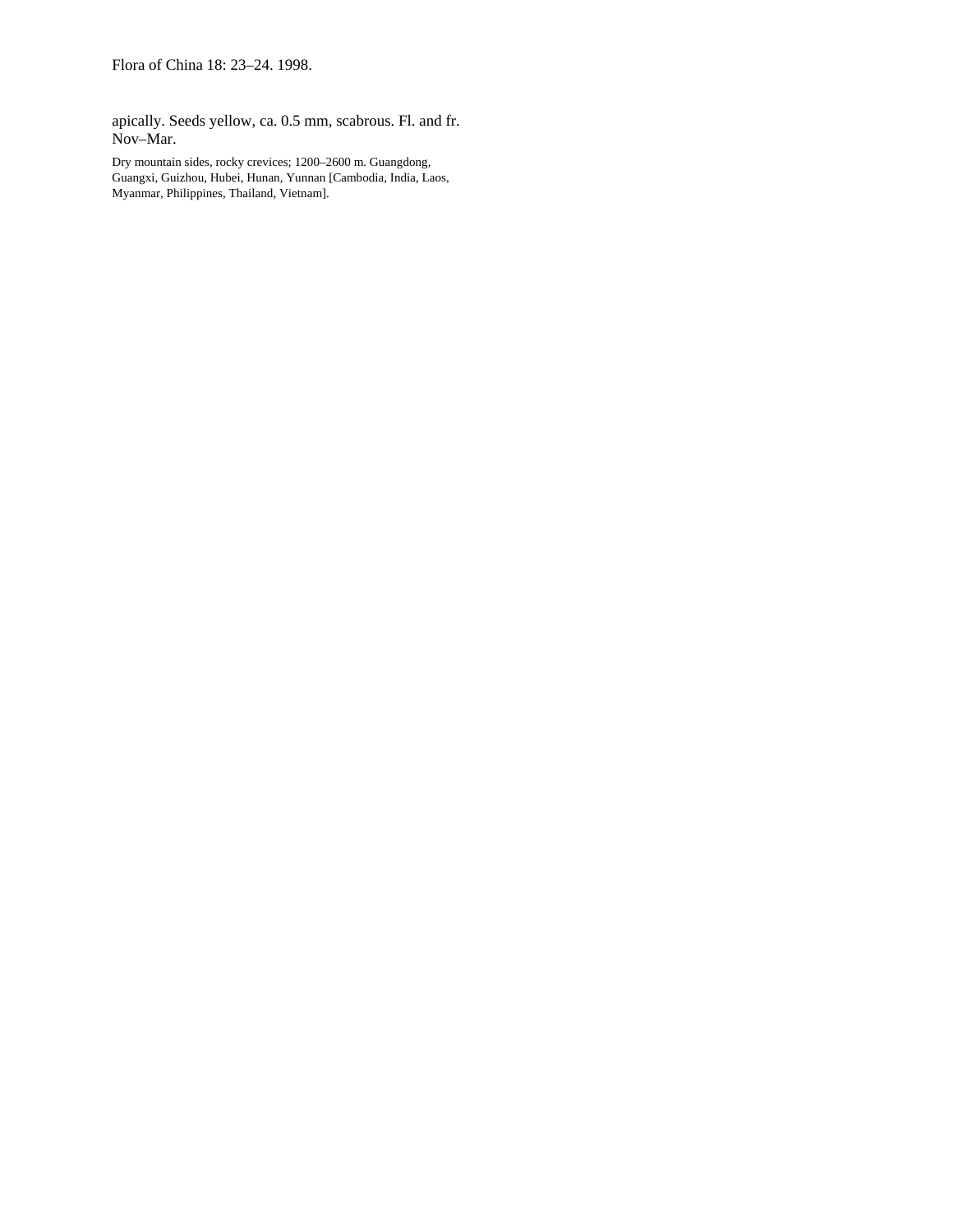apically. Seeds yellow, ca. 0.5 mm, scabrous. Fl. and fr. Nov–Mar.

Dry mountain sides, rocky crevices; 1200–2600 m. Guangdong, Guangxi, Guizhou, Hubei, Hunan, Yunnan [Cambodia, India, Laos, Myanmar, Philippines, Thailand, Vietnam].